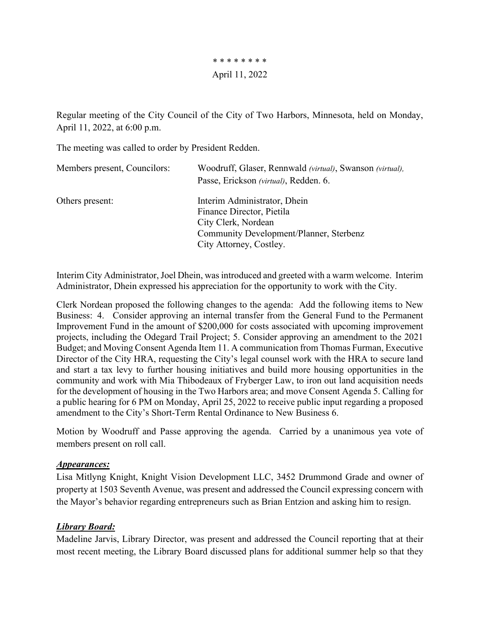\* \* \* \* \* \* \* \* April 11, 2022

Regular meeting of the City Council of the City of Two Harbors, Minnesota, held on Monday, April 11, 2022, at 6:00 p.m.

The meeting was called to order by President Redden.

| Members present, Councilors: | Woodruff, Glaser, Rennwald (virtual), Swanson (virtual),<br>Passe, Erickson (virtual), Redden. 6.                                                      |
|------------------------------|--------------------------------------------------------------------------------------------------------------------------------------------------------|
| Others present:              | Interim Administrator, Dhein<br>Finance Director, Pietila<br>City Clerk, Nordean<br>Community Development/Planner, Sterbenz<br>City Attorney, Costley. |

Interim City Administrator, Joel Dhein, was introduced and greeted with a warm welcome. Interim Administrator, Dhein expressed his appreciation for the opportunity to work with the City.

Clerk Nordean proposed the following changes to the agenda: Add the following items to New Business: 4. Consider approving an internal transfer from the General Fund to the Permanent Improvement Fund in the amount of \$200,000 for costs associated with upcoming improvement projects, including the Odegard Trail Project; 5. Consider approving an amendment to the 2021 Budget; and Moving Consent Agenda Item 11. A communication from Thomas Furman, Executive Director of the City HRA, requesting the City's legal counsel work with the HRA to secure land and start a tax levy to further housing initiatives and build more housing opportunities in the community and work with Mia Thibodeaux of Fryberger Law, to iron out land acquisition needs for the development of housing in the Two Harbors area; and move Consent Agenda 5. Calling for a public hearing for 6 PM on Monday, April 25, 2022 to receive public input regarding a proposed amendment to the City's Short-Term Rental Ordinance to New Business 6.

Motion by Woodruff and Passe approving the agenda. Carried by a unanimous yea vote of members present on roll call.

#### *Appearances:*

Lisa Mitlyng Knight, Knight Vision Development LLC, 3452 Drummond Grade and owner of property at 1503 Seventh Avenue, was present and addressed the Council expressing concern with the Mayor's behavior regarding entrepreneurs such as Brian Entzion and asking him to resign.

### *Library Board:*

Madeline Jarvis, Library Director, was present and addressed the Council reporting that at their most recent meeting, the Library Board discussed plans for additional summer help so that they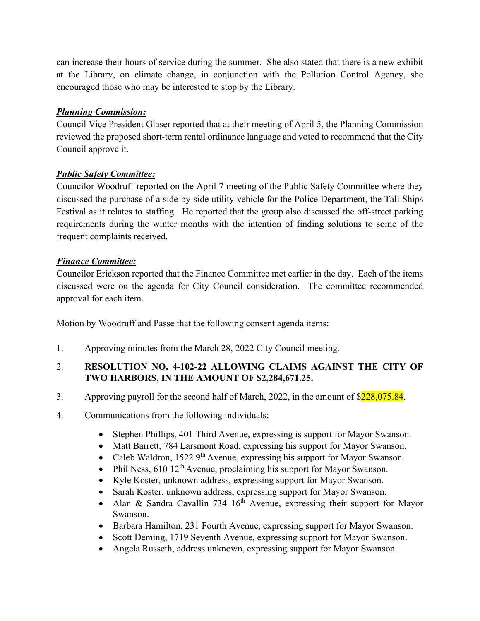can increase their hours of service during the summer. She also stated that there is a new exhibit at the Library, on climate change, in conjunction with the Pollution Control Agency, she encouraged those who may be interested to stop by the Library.

# *Planning Commission:*

Council Vice President Glaser reported that at their meeting of April 5, the Planning Commission reviewed the proposed short-term rental ordinance language and voted to recommend that the City Council approve it.

## *Public Safety Committee:*

Councilor Woodruff reported on the April 7 meeting of the Public Safety Committee where they discussed the purchase of a side-by-side utility vehicle for the Police Department, the Tall Ships Festival as it relates to staffing. He reported that the group also discussed the off-street parking requirements during the winter months with the intention of finding solutions to some of the frequent complaints received.

## *Finance Committee:*

Councilor Erickson reported that the Finance Committee met earlier in the day. Each of the items discussed were on the agenda for City Council consideration. The committee recommended approval for each item.

Motion by Woodruff and Passe that the following consent agenda items:

1. Approving minutes from the March 28, 2022 City Council meeting.

## 2. **RESOLUTION NO. 4-102-22 ALLOWING CLAIMS AGAINST THE CITY OF TWO HARBORS, IN THE AMOUNT OF \$2,284,671.25.**

- 3. Approving payroll for the second half of March, 2022, in the amount of  $\frac{$228,075.84}{228,075.84}$ .
- 4. Communications from the following individuals:
	- Stephen Phillips, 401 Third Avenue, expressing is support for Mayor Swanson.
	- Matt Barrett, 784 Larsmont Road, expressing his support for Mayor Swanson.
	- Caleb Waldron, 1522  $9<sup>th</sup>$  Avenue, expressing his support for Mayor Swanson.
	- Phil Ness, 610 12<sup>th</sup> Avenue, proclaiming his support for Mayor Swanson.
	- Kyle Koster, unknown address, expressing support for Mayor Swanson.
	- Sarah Koster, unknown address, expressing support for Mayor Swanson.
	- Alan & Sandra Cavallin 734  $16<sup>th</sup>$  Avenue, expressing their support for Mayor Swanson.
	- Barbara Hamilton, 231 Fourth Avenue, expressing support for Mayor Swanson.
	- Scott Deming, 1719 Seventh Avenue, expressing support for Mayor Swanson.
	- Angela Russeth, address unknown, expressing support for Mayor Swanson.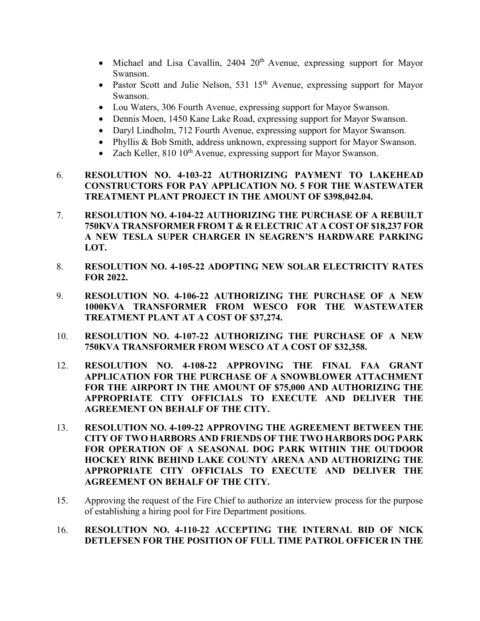- Michael and Lisa Cavallin,  $2404 \frac{20^{th}}{h}$  Avenue, expressing support for Mayor Swanson.
- Pastor Scott and Julie Nelson, 531  $15<sup>th</sup>$  Avenue, expressing support for Mayor Swanson.
- Lou Waters, 306 Fourth Avenue, expressing support for Mayor Swanson.
- Dennis Moen, 1450 Kane Lake Road, expressing support for Mayor Swanson.
- Daryl Lindholm, 712 Fourth Avenue, expressing support for Mayor Swanson.
- Phyllis & Bob Smith, address unknown, expressing support for Mayor Swanson.
- Zach Keller,  $810\,10^{th}$  Avenue, expressing support for Mayor Swanson.
- 6. **RESOLUTION NO. 4-103-22 AUTHORIZING PAYMENT TO LAKEHEAD CONSTRUCTORS FOR PAY APPLICATION NO. 5 FOR THE WASTEWATER TREATMENT PLANT PROJECT IN THE AMOUNT OF \$398,042.04.**
- 7. **RESOLUTION NO. 4-104-22 AUTHORIZING THE PURCHASE OF A REBUILT 750KVA TRANSFORMER FROM T & R ELECTRIC AT A COST OF \$18,237 FOR A NEW TESLA SUPER CHARGER IN SEAGREN'S HARDWARE PARKING LOT.**
- 8. **RESOLUTION NO. 4-105-22 ADOPTING NEW SOLAR ELECTRICITY RATES FOR 2022.**
- 9. **RESOLUTION NO. 4-106-22 AUTHORIZING THE PURCHASE OF A NEW 1000KVA TRANSFORMER FROM WESCO FOR THE WASTEWATER TREATMENT PLANT AT A COST OF \$37,274.**
- 10. **RESOLUTION NO. 4-107-22 AUTHORIZING THE PURCHASE OF A NEW 750KVA TRANSFORMER FROM WESCO AT A COST OF \$32,358.**
- 12. **RESOLUTION NO. 4-108-22 APPROVING THE FINAL FAA GRANT APPLICATION FOR THE PURCHASE OF A SNOWBLOWER ATTACHMENT FOR THE AIRPORT IN THE AMOUNT OF \$75,000 AND AUTHORIZING THE APPROPRIATE CITY OFFICIALS TO EXECUTE AND DELIVER THE AGREEMENT ON BEHALF OF THE CITY.**
- 13. **RESOLUTION NO. 4-109-22 APPROVING THE AGREEMENT BETWEEN THE CITY OF TWO HARBORS AND FRIENDS OF THE TWO HARBORS DOG PARK FOR OPERATION OF A SEASONAL DOG PARK WITHIN THE OUTDOOR HOCKEY RINK BEHIND LAKE COUNTY ARENA AND AUTHORIZING THE APPROPRIATE CITY OFFICIALS TO EXECUTE AND DELIVER THE AGREEMENT ON BEHALF OF THE CITY.**
- 15. Approving the request of the Fire Chief to authorize an interview process for the purpose of establishing a hiring pool for Fire Department positions.

### 16. **RESOLUTION NO. 4-110-22 ACCEPTING THE INTERNAL BID OF NICK DETLEFSEN FOR THE POSITION OF FULL TIME PATROL OFFICER IN THE**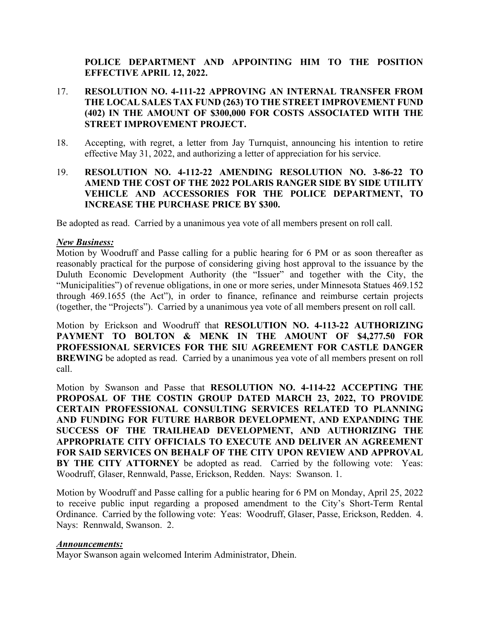### **POLICE DEPARTMENT AND APPOINTING HIM TO THE POSITION EFFECTIVE APRIL 12, 2022.**

#### 17. **RESOLUTION NO. 4-111-22 APPROVING AN INTERNAL TRANSFER FROM THE LOCAL SALES TAX FUND (263) TO THE STREET IMPROVEMENT FUND (402) IN THE AMOUNT OF \$300,000 FOR COSTS ASSOCIATED WITH THE STREET IMPROVEMENT PROJECT.**

- 18. Accepting, with regret, a letter from Jay Turnquist, announcing his intention to retire effective May 31, 2022, and authorizing a letter of appreciation for his service.
- 19. **RESOLUTION NO. 4-112-22 AMENDING RESOLUTION NO. 3-86-22 TO AMEND THE COST OF THE 2022 POLARIS RANGER SIDE BY SIDE UTILITY VEHICLE AND ACCESSORIES FOR THE POLICE DEPARTMENT, TO INCREASE THE PURCHASE PRICE BY \$300.**

Be adopted as read.Carried by a unanimous yea vote of all members present on roll call.

#### *New Business:*

Motion by Woodruff and Passe calling for a public hearing for 6 PM or as soon thereafter as reasonably practical for the purpose of considering giving host approval to the issuance by the Duluth Economic Development Authority (the "Issuer" and together with the City, the "Municipalities") of revenue obligations, in one or more series, under Minnesota Statues 469.152 through 469.1655 (the Act"), in order to finance, refinance and reimburse certain projects (together, the "Projects"). Carried by a unanimous yea vote of all members present on roll call.

Motion by Erickson and Woodruff that **RESOLUTION NO. 4-113-22 AUTHORIZING PAYMENT TO BOLTON & MENK IN THE AMOUNT OF \$4,277.50 FOR PROFESSIONAL SERVICES FOR THE SIU AGREEMENT FOR CASTLE DANGER BREWING** be adopted as read. Carried by a unanimous yea vote of all members present on roll call.

Motion by Swanson and Passe that **RESOLUTION NO. 4-114-22 ACCEPTING THE PROPOSAL OF THE COSTIN GROUP DATED MARCH 23, 2022, TO PROVIDE CERTAIN PROFESSIONAL CONSULTING SERVICES RELATED TO PLANNING AND FUNDING FOR FUTURE HARBOR DEVELOPMENT, AND EXPANDING THE SUCCESS OF THE TRAILHEAD DEVELOPMENT, AND AUTHORIZING THE APPROPRIATE CITY OFFICIALS TO EXECUTE AND DELIVER AN AGREEMENT FOR SAID SERVICES ON BEHALF OF THE CITY UPON REVIEW AND APPROVAL BY THE CITY ATTORNEY** be adopted as read. Carried by the following vote: Yeas: Woodruff, Glaser, Rennwald, Passe, Erickson, Redden. Nays: Swanson. 1.

Motion by Woodruff and Passe calling for a public hearing for 6 PM on Monday, April 25, 2022 to receive public input regarding a proposed amendment to the City's Short-Term Rental Ordinance. Carried by the following vote: Yeas: Woodruff, Glaser, Passe, Erickson, Redden. 4. Nays: Rennwald, Swanson. 2.

#### *Announcements:*

Mayor Swanson again welcomed Interim Administrator, Dhein.